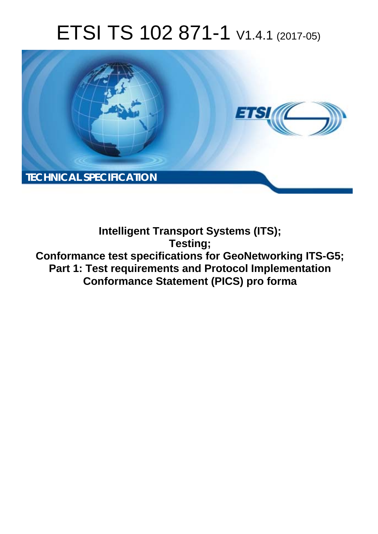# ETSI TS 102 871-1 V1.4.1 (2017-05)



**Intelligent Transport Systems (ITS); Testing; Conformance test specifications for GeoNetworking ITS-G5; Part 1: Test requirements and Protocol Implementation Conformance Statement (PICS) pro forma**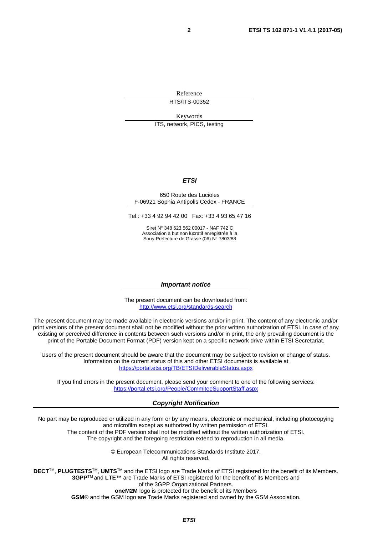Reference RTS/ITS-00352

Keywords

ITS, network, PICS, testing

#### *ETSI*

#### 650 Route des Lucioles F-06921 Sophia Antipolis Cedex - FRANCE

Tel.: +33 4 92 94 42 00 Fax: +33 4 93 65 47 16

Siret N° 348 623 562 00017 - NAF 742 C Association à but non lucratif enregistrée à la Sous-Préfecture de Grasse (06) N° 7803/88

#### *Important notice*

The present document can be downloaded from: <http://www.etsi.org/standards-search>

The present document may be made available in electronic versions and/or in print. The content of any electronic and/or print versions of the present document shall not be modified without the prior written authorization of ETSI. In case of any existing or perceived difference in contents between such versions and/or in print, the only prevailing document is the print of the Portable Document Format (PDF) version kept on a specific network drive within ETSI Secretariat.

Users of the present document should be aware that the document may be subject to revision or change of status. Information on the current status of this and other ETSI documents is available at <https://portal.etsi.org/TB/ETSIDeliverableStatus.aspx>

If you find errors in the present document, please send your comment to one of the following services: <https://portal.etsi.org/People/CommiteeSupportStaff.aspx>

#### *Copyright Notification*

No part may be reproduced or utilized in any form or by any means, electronic or mechanical, including photocopying and microfilm except as authorized by written permission of ETSI.

The content of the PDF version shall not be modified without the written authorization of ETSI. The copyright and the foregoing restriction extend to reproduction in all media.

> © European Telecommunications Standards Institute 2017. All rights reserved.

**DECT**TM, **PLUGTESTS**TM, **UMTS**TM and the ETSI logo are Trade Marks of ETSI registered for the benefit of its Members. **3GPP**TM and **LTE**™ are Trade Marks of ETSI registered for the benefit of its Members and of the 3GPP Organizational Partners.

**oneM2M** logo is protected for the benefit of its Members

**GSM**® and the GSM logo are Trade Marks registered and owned by the GSM Association.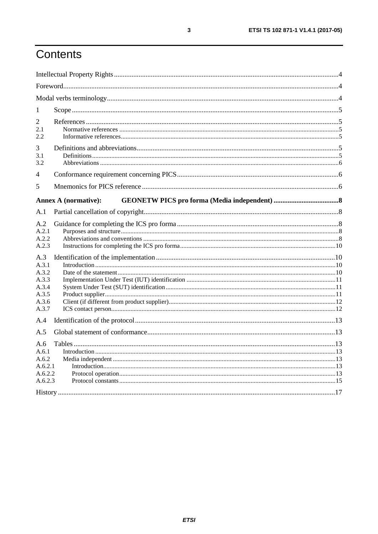## Contents

| 1                                                       |                             |  |
|---------------------------------------------------------|-----------------------------|--|
| 2<br>2.1<br>2.2                                         |                             |  |
| 3<br>3.1<br>3.2                                         |                             |  |
| 4                                                       |                             |  |
| 5                                                       |                             |  |
|                                                         | <b>Annex A (normative):</b> |  |
| A.1                                                     |                             |  |
| A.2<br>A.2.1<br>A.2.2<br>A.2.3<br>A.3<br>A.3.1<br>A.3.2 |                             |  |
| A.3.3<br>A.3.4<br>A.3.5<br>A.3.6<br>A.3.7               |                             |  |
| A.4                                                     |                             |  |
| A.5                                                     |                             |  |
| A.6<br>A.6.1<br>A.6.2<br>A.6.2.1<br>A.6.2.2<br>A.6.2.3  |                             |  |
|                                                         |                             |  |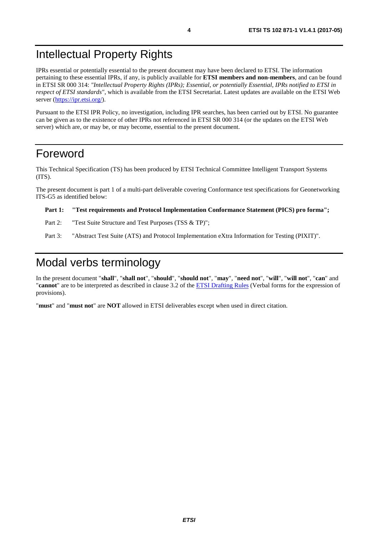## <span id="page-3-0"></span>Intellectual Property Rights

IPRs essential or potentially essential to the present document may have been declared to ETSI. The information pertaining to these essential IPRs, if any, is publicly available for **ETSI members and non-members**, and can be found in ETSI SR 000 314: *"Intellectual Property Rights (IPRs); Essential, or potentially Essential, IPRs notified to ETSI in respect of ETSI standards"*, which is available from the ETSI Secretariat. Latest updates are available on the ETSI Web server (<https://ipr.etsi.org/>).

Pursuant to the ETSI IPR Policy, no investigation, including IPR searches, has been carried out by ETSI. No guarantee can be given as to the existence of other IPRs not referenced in ETSI SR 000 314 (or the updates on the ETSI Web server) which are, or may be, or may become, essential to the present document.

### Foreword

This Technical Specification (TS) has been produced by ETSI Technical Committee Intelligent Transport Systems (ITS).

The present document is part 1 of a multi-part deliverable covering Conformance test specifications for Geonetworking ITS-G5 as identified below:

#### **Part 1: "Test requirements and Protocol Implementation Conformance Statement (PICS) pro forma";**

- Part 2: "Test Suite Structure and Test Purposes (TSS & TP)";
- Part 3: "Abstract Test Suite (ATS) and Protocol Implementation eXtra Information for Testing (PIXIT)".

### Modal verbs terminology

In the present document "**shall**", "**shall not**", "**should**", "**should not**", "**may**", "**need not**", "**will**", "**will not**", "**can**" and "**cannot**" are to be interpreted as described in clause 3.2 of the [ETSI Drafting Rules](https://portal.etsi.org/Services/editHelp!/Howtostart/ETSIDraftingRules.aspx) (Verbal forms for the expression of provisions).

"**must**" and "**must not**" are **NOT** allowed in ETSI deliverables except when used in direct citation.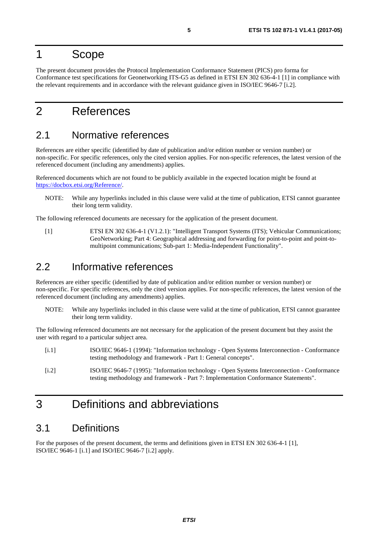### <span id="page-4-0"></span>1 Scope

The present document provides the Protocol Implementation Conformance Statement (PICS) pro forma for Conformance test specifications for Geonetworking ITS-G5 as defined in ETSI EN 302 636-4-1 [1] in compliance with the relevant requirements and in accordance with the relevant guidance given in ISO/IEC 9646-7 [i.2].

## 2 References

### 2.1 Normative references

References are either specific (identified by date of publication and/or edition number or version number) or non-specific. For specific references, only the cited version applies. For non-specific references, the latest version of the referenced document (including any amendments) applies.

Referenced documents which are not found to be publicly available in the expected location might be found at <https://docbox.etsi.org/Reference/>.

NOTE: While any hyperlinks included in this clause were valid at the time of publication, ETSI cannot guarantee their long term validity.

The following referenced documents are necessary for the application of the present document.

[1] ETSI EN 302 636-4-1 (V1.2.1): "Intelligent Transport Systems (ITS); Vehicular Communications; GeoNetworking; Part 4: Geographical addressing and forwarding for point-to-point and point-tomultipoint communications; Sub-part 1: Media-Independent Functionality".

### 2.2 Informative references

References are either specific (identified by date of publication and/or edition number or version number) or non-specific. For specific references, only the cited version applies. For non-specific references, the latest version of the referenced document (including any amendments) applies.

NOTE: While any hyperlinks included in this clause were valid at the time of publication, ETSI cannot guarantee their long term validity.

The following referenced documents are not necessary for the application of the present document but they assist the user with regard to a particular subject area.

- [i.1] ISO/IEC 9646-1 (1994): "Information technology Open Systems Interconnection Conformance testing methodology and framework - Part 1: General concepts".
- [i.2] ISO/IEC 9646-7 (1995): "Information technology Open Systems Interconnection Conformance testing methodology and framework - Part 7: Implementation Conformance Statements".

## 3 Definitions and abbreviations

### 3.1 Definitions

For the purposes of the present document, the terms and definitions given in ETSI EN 302 636-4-1 [1], ISO/IEC 9646-1 [i.1] and ISO/IEC 9646-7 [i.2] apply.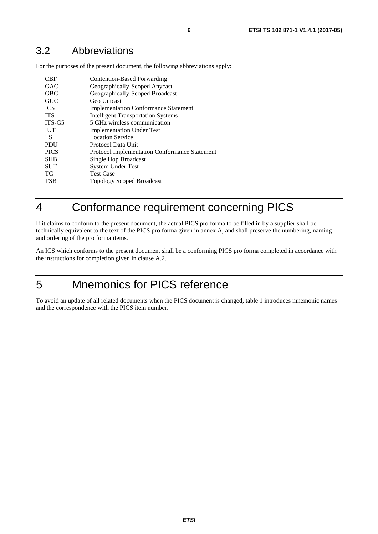### <span id="page-5-0"></span>3.2 Abbreviations

For the purposes of the present document, the following abbreviations apply:

| CBF<br><b>GAC</b><br><b>GBC</b><br><b>GUC</b><br><b>ICS</b><br><b>TTS</b><br>$ITS-G5$ | Contention-Based Forwarding<br>Geographically-Scoped Anycast<br>Geographically-Scoped Broadcast<br>Geo Unicast<br><b>Implementation Conformance Statement</b><br><b>Intelligent Transportation Systems</b><br>5 GHz wireless communication |
|---------------------------------------------------------------------------------------|--------------------------------------------------------------------------------------------------------------------------------------------------------------------------------------------------------------------------------------------|
|                                                                                       |                                                                                                                                                                                                                                            |
| <b>IUT</b>                                                                            | <b>Implementation Under Test</b>                                                                                                                                                                                                           |
| LS                                                                                    | Location Service                                                                                                                                                                                                                           |
| <b>PDU</b>                                                                            | Protocol Data Unit                                                                                                                                                                                                                         |
| <b>PICS</b>                                                                           | <b>Protocol Implementation Conformance Statement</b>                                                                                                                                                                                       |
| <b>SHB</b>                                                                            | Single Hop Broadcast                                                                                                                                                                                                                       |
| <b>SUT</b>                                                                            | <b>System Under Test</b>                                                                                                                                                                                                                   |
| <b>ТС</b>                                                                             | <b>Test Case</b>                                                                                                                                                                                                                           |
| <b>TSB</b>                                                                            | <b>Topology Scoped Broadcast</b>                                                                                                                                                                                                           |

## 4 Conformance requirement concerning PICS

If it claims to conform to the present document, the actual PICS pro forma to be filled in by a supplier shall be technically equivalent to the text of the PICS pro forma given in annex A, and shall preserve the numbering, naming and ordering of the pro forma items.

An ICS which conforms to the present document shall be a conforming PICS pro forma completed in accordance with the instructions for completion given in clause A.2.

## 5 Mnemonics for PICS reference

To avoid an update of all related documents when the PICS document is changed, table 1 introduces mnemonic names and the correspondence with the PICS item number.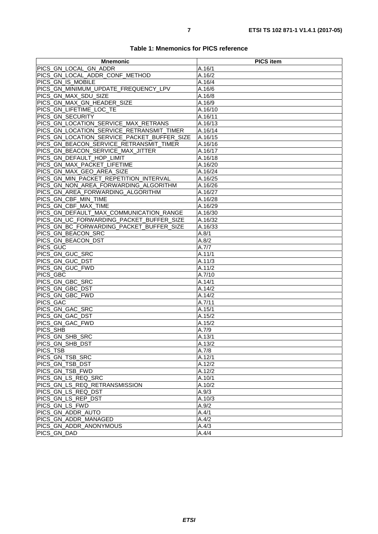| Table 1: Mnemonics for PICS reference |  |  |  |
|---------------------------------------|--|--|--|
|---------------------------------------|--|--|--|

| <b>Mnemonic</b>                             | <b>PICS item</b> |
|---------------------------------------------|------------------|
| PICS_GN_LOCAL_GN_ADDR                       | A.16/1           |
| PICS GN LOCAL ADDR CONF METHOD              | A.16/2           |
| PICS_GN_IS_MOBILE                           | A.16/4           |
| PICS_GN_MINIMUM_UPDATE_FREQUENCY_LPV        | A.16/6           |
| PICS_GN_MAX_SDU_SIZE                        | A.16/8           |
| PICS_GN_MAX_GN_HEADER_SIZE                  | A.16/9           |
| PICS GN LIFETIME LOC TE                     | A.16/10          |
| PICS GN SECURITY                            | A.16/11          |
| PICS GN LOCATION SERVICE MAX RETRANS        | A.16/13          |
| PICS_GN_LOCATION_SERVICE_RETRANSMIT_TIMER   | A.16/14          |
| PICS_GN_LOCATION_SERVICE_PACKET_BUFFER_SIZE | A.16/15          |
| PICS_GN_BEACON_SERVICE_RETRANSMIT_TIMER     | A.16/16          |
| PICS GN BEACON SERVICE MAX JITTER           | A.16/17          |
| PICS_GN_DEFAULT_HOP_LIMIT                   | A.16/18          |
| PICS_GN_MAX_PACKET_LIFETIME                 | A.16/20          |
| PICS GN MAX GEO AREA SIZE                   | A.16/24          |
| PICS_GN_MIN_PACKET_REPETITION_INTERVAL      | A.16/25          |
| PICS_GN_NON_AREA_FORWARDING_ALGORITHM       | A.16/26          |
| PICS_GN_AREA_FORWARDING_ALGORITHM           | A.16/27          |
| PICS GN CBF MIN TIME                        | A.16/28          |
| PICS GN CBF MAX_TIME                        | A.16/29          |
| PICS_GN_DEFAULT_MAX_COMMUNICATION_RANGE     | A.16/30          |
| PICS GN UC FORWARDING PACKET BUFFER SIZE    | A.16/32          |
| PICS GN BC FORWARDING PACKET BUFFER SIZE    | A.16/33          |
| PICS_GN_BEACON_SRC                          | A.8/1            |
| PICS_GN_BEACON_DST                          | A.8/2            |
| PICS GUC                                    | A.7/7            |
| PICS GN GUC SRC                             | A.11/1           |
| PICS GN GUC DST                             | A.11/3           |
| PICS_GN_GUC_FWD                             | A.11/2           |
| PICS_GBC                                    | A.7/10           |
| PICS_GN_GBC_SRC                             | A.14/1           |
| PICS_GN_GBC_DST                             | A.14/2           |
| PICS GN GBC FWD                             | A.14/2           |
| PICS_GAC                                    | A.7/11           |
| PICS GN GAC SRC                             | A.15/1           |
| PICS GN GAC DST                             | A.15/2           |
| PICS_GN_GAC_FWD                             | A.15/2           |
| PICS_SHB                                    | A.7/9            |
| PICS GN SHB SRC                             | A.13/1           |
| PICS_GN_SHB_DST                             | A.13/2           |
| <b>PICS TSB</b>                             | A.7/8            |
| PICS_GN_TSB_SRC                             | A.12/1           |
| PICS GN TSB DST                             | A.12/2           |
| PICS_GN_TSB_FWD                             | A.12/2           |
| PICS_GN_LS_REQ_SRC                          | A.10/1           |
| PICS_GN_LS_REQ_RETRANSMISSION               | A.10/2           |
| PICS_GN_LS_REQ_DST                          | A.9/3            |
| PICS_GN_LS_REP_DST                          | A.10/3           |
| PICS GN LS FWD                              | A.9/2            |
| PICS_GN_ADDR_AUTO                           | A.4/1            |
| PICS GN ADDR MANAGED                        | A.4/2            |
| PICS GN ADDR ANONYMOUS                      | A.4/3            |
| PICS_GN_DAD                                 | A.4/4            |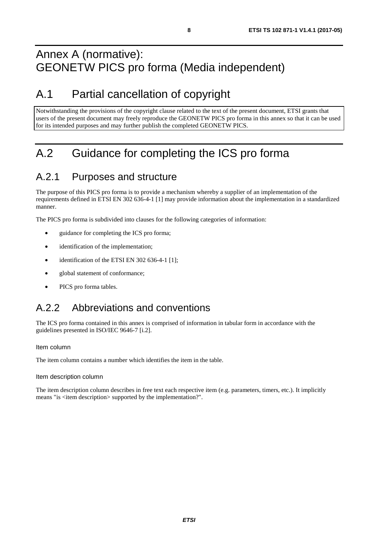## <span id="page-7-0"></span>Annex A (normative): GEONETW PICS pro forma (Media independent)

## A.1 Partial cancellation of copyright

Notwithstanding the provisions of the copyright clause related to the text of the present document, ETSI grants that users of the present document may freely reproduce the GEONETW PICS pro forma in this annex so that it can be used for its intended purposes and may further publish the completed GEONETW PICS.

## A.2 Guidance for completing the ICS pro forma

### A.2.1 Purposes and structure

The purpose of this PICS pro forma is to provide a mechanism whereby a supplier of an implementation of the requirements defined in ETSI EN 302 636-4-1 [\[1](#page-4-0)] may provide information about the implementation in a standardized manner.

The PICS pro forma is subdivided into clauses for the following categories of information:

- guidance for completing the ICS pro forma;
- identification of the implementation;
- identification of the ETSI EN 302 636-4-1 [\[1](#page-4-0)];
- global statement of conformance;
- PICS pro forma tables.

## A.2.2 Abbreviations and conventions

The ICS pro forma contained in this annex is comprised of information in tabular form in accordance with the guidelines presented in ISO/IEC 9646-7 [[i.2](#page-4-0)].

#### Item column

The item column contains a number which identifies the item in the table.

#### Item description column

The item description column describes in free text each respective item (e.g. parameters, timers, etc.). It implicitly means "is <item description> supported by the implementation?".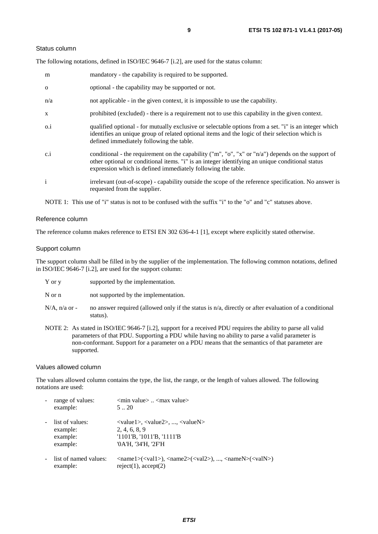#### Status column

The following notations, defined in ISO/IEC 9646-7 [\[i.2\]](#page-4-0), are used for the status column:

| m            | mandatory - the capability is required to be supported.                                                                                                                                                                                                               |
|--------------|-----------------------------------------------------------------------------------------------------------------------------------------------------------------------------------------------------------------------------------------------------------------------|
| $\Omega$     | optional - the capability may be supported or not.                                                                                                                                                                                                                    |
| n/a          | not applicable - in the given context, it is impossible to use the capability.                                                                                                                                                                                        |
| $\mathbf{X}$ | prohibited (excluded) - there is a requirement not to use this capability in the given context.                                                                                                                                                                       |
| $0.\dot{1}$  | qualified optional - for mutually exclusive or selectable options from a set. "i" is an integer which<br>identifies an unique group of related optional items and the logic of their selection which is<br>defined immediately following the table.                   |
| c.i          | conditional - the requirement on the capability ("m", "o", "x" or "n/a") depends on the support of<br>other optional or conditional items. "i" is an integer identifying an unique conditional status<br>expression which is defined immediately following the table. |
| $\mathbf{i}$ | irrelevant (out-of-scope) - capability outside the scope of the reference specification. No answer is<br>requested from the supplier.                                                                                                                                 |

NOTE 1: This use of "i" status is not to be confused with the suffix "i" to the "o" and "c" statuses above.

#### Reference column

The reference column makes reference to ETSI EN 302 636-4-1 [\[1](#page-4-0)], except where explicitly stated otherwise.

#### Support column

The support column shall be filled in by the supplier of the implementation. The following common notations, defined in ISO/IEC 9646-7 [[i.2\]](#page-4-0), are used for the support column:

| Y or y | supported by the implementation. |
|--------|----------------------------------|
|--------|----------------------------------|

N or n not supported by the implementation.

- $N/A$ , n/a or no answer required (allowed only if the status is n/a, directly or after evaluation of a conditional status).
- NOTE 2: As stated in ISO/IEC 9646-7 [[i.2](#page-4-0)], support for a received PDU requires the ability to parse all valid parameters of that PDU. Supporting a PDU while having no ability to parse a valid parameter is non-conformant. Support for a parameter on a PDU means that the semantics of that parameter are supported.

#### Values allowed column

The values allowed column contains the type, the list, the range, or the length of values allowed. The following notations are used:

| range of values:<br>example:                        | $\leq$ min value $>$ $\leq$ max value $>$<br>520                                                                                                                                                            |
|-----------------------------------------------------|-------------------------------------------------------------------------------------------------------------------------------------------------------------------------------------------------------------|
| list of values:<br>example:<br>example:<br>example: | $\langle \text{value1}\rangle, \langle \text{value2}\rangle, , \langle \text{valueN}\rangle$<br>2, 4, 6, 8, 9<br>$'1101'B$ , $'1011'B$ , $'1111'B$<br>'0A'H, '34'H, '2F'H                                   |
| list of named values:<br>example:                   | $\langle \text{name1}\rangle(\langle \text{val1}\rangle)$ , $\langle \text{name2}\rangle(\langle \text{val2}\rangle)$ , , $\langle \text{nameN}\rangle(\langle \text{valN}\rangle)$<br>reject(1), accept(2) |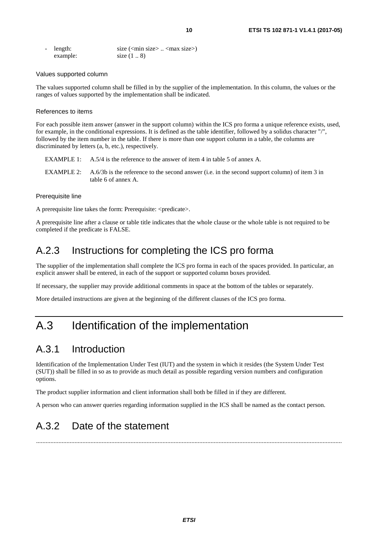<span id="page-9-0"></span>

| - length: | size $(\text{min size} > \dots < \text{max size})$ |
|-----------|----------------------------------------------------|
| example:  | size $(1 \ldots 8)$                                |

#### Values supported column

The values supported column shall be filled in by the supplier of the implementation. In this column, the values or the ranges of values supported by the implementation shall be indicated.

#### References to items

For each possible item answer (answer in the support column) within the ICS pro forma a unique reference exists, used, for example, in the conditional expressions. It is defined as the table identifier, followed by a solidus character "/", followed by the item number in the table. If there is more than one support column in a table, the columns are discriminated by letters (a, b, etc.), respectively.

- EXAMPLE 1: A.5/4 is the reference to the answer of item 4 in table 5 of annex A.
- EXAMPLE 2: A.6/3b is the reference to the second answer (i.e. in the second support column) of item 3 in table 6 of annex A.

#### Prerequisite line

A prerequisite line takes the form: Prerequisite: <predicate>.

A prerequisite line after a clause or table title indicates that the whole clause or the whole table is not required to be completed if the predicate is FALSE.

### A.2.3 Instructions for completing the ICS pro forma

The supplier of the implementation shall complete the ICS pro forma in each of the spaces provided. In particular, an explicit answer shall be entered, in each of the support or supported column boxes provided.

If necessary, the supplier may provide additional comments in space at the bottom of the tables or separately.

More detailed instructions are given at the beginning of the different clauses of the ICS pro forma.

## A.3 Identification of the implementation

### A.3.1 Introduction

Identification of the Implementation Under Test (IUT) and the system in which it resides (the System Under Test (SUT)) shall be filled in so as to provide as much detail as possible regarding version numbers and configuration options.

The product supplier information and client information shall both be filled in if they are different.

A person who can answer queries regarding information supplied in the ICS shall be named as the contact person.

## A.3.2 Date of the statement

...............................................................................................................................................................................................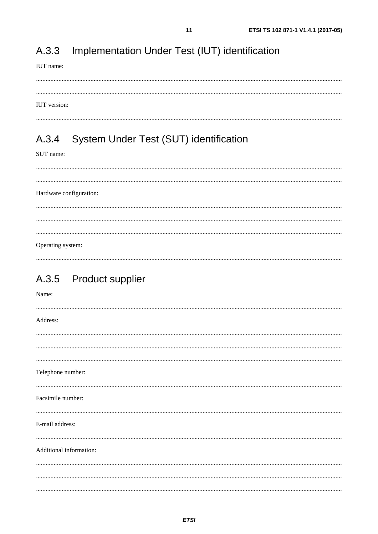#### <span id="page-10-0"></span>Implementation Under Test (IUT) identification A.3.3

#### IUT name:

#### IUT version:

#### System Under Test (SUT) identification A.3.4

SUT name:

Hardware configuration: Operating system:

## A.3.5 Product supplier

| Name:                   |
|-------------------------|
| Address:                |
|                         |
|                         |
| Telephone number:       |
| Facsimile number:       |
| E-mail address:         |
| Additional information: |
|                         |
|                         |
|                         |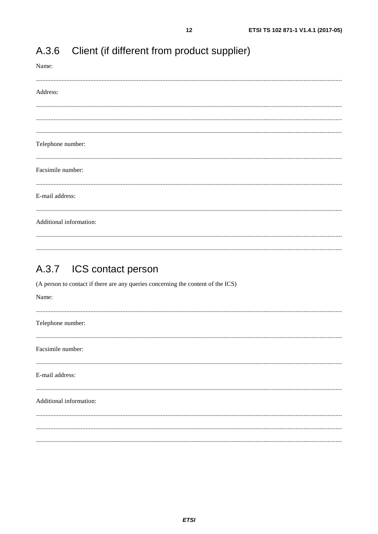| Name:                   |
|-------------------------|
|                         |
| Address:                |
|                         |
|                         |
|                         |
| Telephone number:       |
|                         |
| Facsimile number:       |
|                         |
| E-mail address:         |
|                         |
|                         |
| Additional information: |
|                         |
|                         |

 $12$ 

#### <span id="page-11-0"></span> $A.3.6$ Client (if different from product supplier)

#### $A.3.7$ ICS contact person

(A person to contact if there are any queries concerning the content of the ICS)

| Name:                   |
|-------------------------|
| Telephone number:       |
| Facsimile number:       |
| E-mail address:         |
| Additional information: |
|                         |
|                         |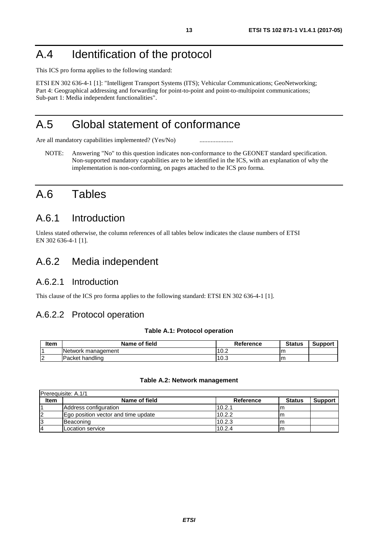## <span id="page-12-0"></span>A.4 Identification of the protocol

This ICS pro forma applies to the following standard:

ETSI EN 302 636-4-1 [[1\]](#page-4-0): "Intelligent Transport Systems (ITS); Vehicular Communications; GeoNetworking; Part 4: Geographical addressing and forwarding for point-to-point and point-to-multipoint communications; Sub-part 1: Media independent functionalities".

## A.5 Global statement of conformance

Are all mandatory capabilities implemented? (Yes/No) ............................

NOTE: Answering "No" to this question indicates non-conformance to the GEONET standard specification. Non-supported mandatory capabilities are to be identified in the ICS, with an explanation of why the implementation is non-conforming, on pages attached to the ICS pro forma.

## A.6 Tables

### A.6.1 Introduction

Unless stated otherwise, the column references of all tables below indicates the clause numbers of ETSI EN 302 636-4-1 [\[1](#page-4-0)].

### A.6.2 Media independent

### A.6.2.1 Introduction

This clause of the ICS pro forma applies to the following standard: ETSI EN 302 636-4-1 [[1\]](#page-4-0).

### A.6.2.2 Protocol operation

#### **Table A.1: Protocol operation**

| ltem     | Name of field       | <b>Reference</b> | <b>Status</b> | Support |
|----------|---------------------|------------------|---------------|---------|
|          | INetwork management | 10.2             | ım            |         |
| הו<br>ı∠ | handling<br>IPacket | 10.3             | ım            |         |

#### **Table A.2: Network management**

|             | <b>Prerequisite: A.1/1</b>          |           |               |                |  |
|-------------|-------------------------------------|-----------|---------------|----------------|--|
| <b>Item</b> | Name of field                       | Reference | <b>Status</b> | <b>Support</b> |  |
|             | Address configuration               | 10.2.1    |               |                |  |
|             | Ego position vector and time update | 10.2.2    | ım            |                |  |
| 13          | Beaconing                           | 10.2.3    | Ιm.           |                |  |
| 14          | ILocation service                   | 10.2.4    | ım            |                |  |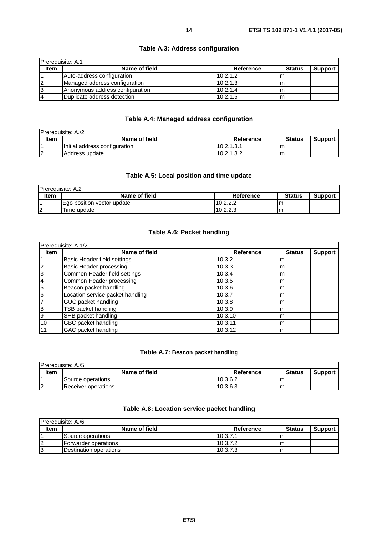<span id="page-13-0"></span>

| <b>Prerequisite: A.1</b> |                                 |                  |               |                |
|--------------------------|---------------------------------|------------------|---------------|----------------|
| <b>Item</b>              | Name of field                   | <b>Reference</b> | <b>Status</b> | <b>Support</b> |
|                          | Auto-address configuration      | 10.2.1.2         |               |                |
|                          | Managed address configuration   | 10.2.1.3         |               |                |
| 13                       | Anonymous address configuration | 110.2.1.4        | ım            |                |
| 14                       | Duplicate address detection     | 10.2.1.5         | ım            |                |

#### **Table A.3: Address configuration**

#### **Table A.4: Managed address configuration**

| <b>Prerequisite: A./2</b> |                               |            |               |                |  |
|---------------------------|-------------------------------|------------|---------------|----------------|--|
| Item                      | Name of field                 | Reference  | <b>Status</b> | <b>Support</b> |  |
|                           | Initial address configuration | 10.2.1.3.7 | ım            |                |  |
| ın                        | Address update                | 10.2.1.3.2 | m             |                |  |

#### **Table A.5: Local position and time update**

| <b>Prerequisite: A.2</b> |                            |           |               |                |
|--------------------------|----------------------------|-----------|---------------|----------------|
| <b>Item</b>              | Name of field              | Reference | <b>Status</b> | <b>Support</b> |
|                          | Ego position vector update | 10.2.2.2  | m             |                |
| 12                       | Time update                | 10.2.2.3  | m             |                |

#### **Table A.6: Packet handling**

| Prerequisite: A.1/2 |                                  |                  |               |                |  |
|---------------------|----------------------------------|------------------|---------------|----------------|--|
| <b>Item</b>         | Name of field                    | <b>Reference</b> | <b>Status</b> | <b>Support</b> |  |
|                     | Basic Header field settings      | 10.3.2           | m             |                |  |
| $\overline{2}$      | Basic Header processing          | 10.3.3           | m             |                |  |
| 3                   | Common Header field settings     | 10.3.4           | m             |                |  |
| 4                   | Common Header processing         | 10.3.5           | m             |                |  |
| 5                   | Beacon packet handling           | 10.3.6           | m             |                |  |
| 6                   | Location service packet handling | 10.3.7           | m             |                |  |
|                     | GUC packet handling              | 10.3.8           | m             |                |  |
| 8                   | TSB packet handling              | 10.3.9           | m             |                |  |
| 9                   | SHB packet handling              | 10.3.10          | m             |                |  |
| 10                  | GBC packet handling              | 10.3.11          | m             |                |  |
|                     | GAC packet handling              | 10.3.12          | m             |                |  |

#### **Table A.7: Beacon packet handling**

| <b>Prerequisite: A./5</b> |                            |           |               |                |  |
|---------------------------|----------------------------|-----------|---------------|----------------|--|
| Item                      | Name of field              | Reference | <b>Status</b> | <b>Support</b> |  |
|                           | Source operations          | 10.3.6.2  | ım            |                |  |
| ın<br>◢                   | <b>Receiver operations</b> | 10.3.6.3  | Im            |                |  |

#### **Table A.8: Location service packet handling**

|             | <b>IPrerequisite: A./6</b>     |           |               |                |  |
|-------------|--------------------------------|-----------|---------------|----------------|--|
| <b>Item</b> | Name of field                  | Reference | <b>Status</b> | <b>Support</b> |  |
|             | Source operations              | 10.3.7.1  | m             |                |  |
| 12          | Forwarder operations           | 10.3.7.2  | m             |                |  |
| 13          | <b>IDestination operations</b> | 10.3.7.3  | ım            |                |  |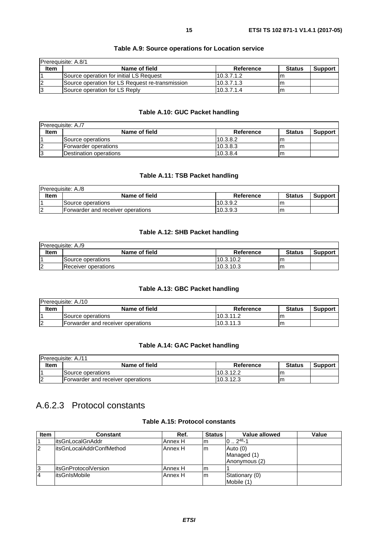<span id="page-14-0"></span>

| <b>Prerequisite: A.8/1</b> |                                                 |            |               |                |
|----------------------------|-------------------------------------------------|------------|---------------|----------------|
| <b>Item</b>                | Name of field                                   | Reference  | <b>Status</b> | <b>Support</b> |
|                            | Source operation for initial LS Request         | 10.3.7.1.2 |               |                |
| 12                         | Source operation for LS Request re-transmission | 10.3.7.1.3 | ım            |                |
| 13                         | Source operation for LS Reply                   | 10.3.7.1.4 | ım            |                |

#### **Table A.9: Source operations for Location service**

#### **Table A.10: GUC Packet handling**

| <b>Prerequisite: A./7</b> |                        |           |               |                |  |
|---------------------------|------------------------|-----------|---------------|----------------|--|
| <b>Item</b>               | Name of field          | Reference | <b>Status</b> | <b>Support</b> |  |
|                           | Source operations      | 10.3.8.2  | m             |                |  |
|                           | Forwarder operations   | 10.3.8.3  | m             |                |  |
| 13                        | Destination operations | 10.3.8.4  | m             |                |  |

#### **Table A.11: TSB Packet handling**

| Prerequisite: A./8 |                                   |           |               |                |
|--------------------|-----------------------------------|-----------|---------------|----------------|
| <b>Item</b>        | Name of field                     | Reference | <b>Status</b> | <b>Support</b> |
|                    | <b>Source operations</b>          | 10.3.9.2  | m             |                |
| $\overline{2}$     | Forwarder and receiver operations | 10.3.9.3  | m             |                |

#### **Table A.12: SHB Packet handling**

| Prerequisite: A./9 |                     |           |               |                |  |
|--------------------|---------------------|-----------|---------------|----------------|--|
| <b>Item</b>        | Name of field       | Reference | <b>Status</b> | <b>Support</b> |  |
|                    | Source operations   | 10.3.10.2 | ım            |                |  |
| $\sim$             | Receiver operations | 10.3.10.3 | m             |                |  |

#### **Table A.13: GBC Packet handling**

| <b>IPrerequisite: A./10</b> |                                   |           |               |                |  |
|-----------------------------|-----------------------------------|-----------|---------------|----------------|--|
| Item                        | Name of field                     | Reference | <b>Status</b> | <b>Support</b> |  |
|                             | Source operations                 | 10.3.11.2 | m             |                |  |
| $\sqrt{2}$                  | Forwarder and receiver operations | 10.3.11.3 | ιm.           |                |  |

#### **Table A.14: GAC Packet handling**

| <b>IPrerequisite: A./11</b> |                                   |            |               |                |  |
|-----------------------------|-----------------------------------|------------|---------------|----------------|--|
| <b>Item</b>                 | Name of field                     | Reference  | <b>Status</b> | <b>Support</b> |  |
|                             | <b>ISource operations</b>         | 110.3.12.2 | ıη            |                |  |
|                             | Forwarder and receiver operations | 10.3.12.3  | ım            |                |  |

### A.6.2.3 Protocol constants

#### **Table A.15: Protocol constants**

| <b>Item</b>    | <b>Constant</b>           | Ref.    | <b>Status</b> | Value allowed  | Value |
|----------------|---------------------------|---------|---------------|----------------|-------|
|                | litsGnLocalGnAddr         | Annex H | ım            | $0.2^{48} - 1$ |       |
| $\overline{2}$ | litsGnLocalAddrConfMethod | Annex H | Im            | Auto $(0)$     |       |
|                |                           |         |               | Managed (1)    |       |
|                |                           |         |               | Anonymous (2)  |       |
| 3              | litsGnProtocolVersion     | Annex H | Im            |                |       |
| $\overline{4}$ | litsGnIsMobile            | Annex H | lm            | Stationary (0) |       |
|                |                           |         |               | Mobile (1)     |       |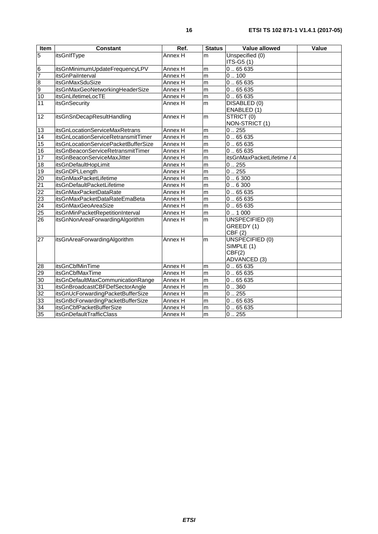| <b>Item</b>                       | <b>Constant</b>                      | Ref.    | <b>Status</b> | Value allowed                | Value |
|-----------------------------------|--------------------------------------|---------|---------------|------------------------------|-------|
| $\overline{5}$                    | itsGnIfType                          | Annex H | m             | Unspecified (0)              |       |
|                                   |                                      |         |               | ITS-G5 (1)                   |       |
| $6\overline{6}$<br>$\overline{7}$ | itsGnMinimumUpdateFrequencyLPV       | Annex H | m             | $\overline{0}$ 65 635        |       |
|                                   | itsGnPaiInterval                     | Annex H | m             | 0.100                        |       |
| $\overline{8}$                    | <b>itsGnMaxSduSize</b>               | Annex H | m             | 0.65635                      |       |
| $\overline{9}$                    | itsGnMaxGeoNetworkingHeaderSize      | Annex H | m             | 0.65635                      |       |
| 10                                | itsGnLifetimeLocTE                   | Annex H | m             | 0.65635                      |       |
| 11                                | itsGnSecurity                        | Annex H | m             | DISABLED (0)<br>ENABLED (1)  |       |
| 12                                | itsGnSnDecapResultHandling           | Annex H | m             | STRICT (0)<br>NON-STRICT (1) |       |
| 13                                | itsGnLocationServiceMaxRetrans       | Annex H | m             | 0.255                        |       |
| 14                                | itsGnLocationServiceRetransmitTimer  | Annex H | m             | 0.65635                      |       |
| 15                                | itsGnLocationServicePacketBufferSize | Annex H | m             | 0.65635                      |       |
| 16                                | itsGnBeaconServiceRetransmitTimer    | Annex H | m             | 0.65635                      |       |
| 17                                | itsGnBeaconServiceMaxJitter          | Annex H | m             | itsGnMaxPacketLifetime / 4   |       |
| 18                                | itsGnDefaultHopLimit                 | Annex H | m             | 0.255                        |       |
| $\overline{19}$                   | itsGnDPLLength                       | Annex H | m             | 0.255                        |       |
| 20                                | itsGnMaxPacketLifetime               | Annex H | m             | 0.6300                       |       |
| $\overline{21}$                   | itsGnDefaultPacketLifetime           | Annex H | m             | 0.6300                       |       |
| $\overline{22}$                   | itsGnMaxPacketDataRate               | Annex H | m             | 0.65635                      |       |
| 23                                | itsGnMaxPacketDataRateEmaBeta        | Annex H | m             | 0.65635                      |       |
| $\overline{24}$                   | itsGnMaxGeoAreaSize                  | Annex H | m             | 0.65635                      |       |
| 25                                | itsGnMinPacketRepetitionInterval     | Annex H | m             | 0.1000                       |       |
| $\overline{26}$                   | itsGnNonAreaForwardingAlgorithm      | Annex H | m             | <b>UNSPECIFIED (0)</b>       |       |
|                                   |                                      |         |               | GREEDY (1)                   |       |
|                                   |                                      |         |               | CBF(2)                       |       |
| $\overline{27}$                   | itsGnAreaForwardingAlgorithm         | Annex H | m             | UNSPECIFIED (0)              |       |
|                                   |                                      |         |               | SIMPLE (1)                   |       |
|                                   |                                      |         |               | CBF(2)                       |       |
|                                   |                                      |         |               | ADVANCED (3)                 |       |
| 28                                | itsGnCbfMinTime                      | Annex H | m             | 0.65635                      |       |
| 29                                | itsGnCbfMaxTime                      | Annex H | m             | 0.65635                      |       |
| 30                                | itsGnDefaultMaxCommunicationRange    | Annex H | m             | 0.65635                      |       |
| $\overline{31}$                   | itsGnBroadcastCBFDefSectorAngle      | Annex H | m             | 0.0.360                      |       |
| 32                                | itsGnUcForwardingPacketBufferSize    | Annex H | m             | 0.255                        |       |
| 33                                | itsGnBcForwardingPacketBufferSize    | Annex H | m             | 0.65635                      |       |
| 34                                | itsGnCbfPacketBufferSize             | Annex H | m             | 0.65635                      |       |
| 35                                | itsGnDefaultTrafficClass             | Annex H | m             | 0.255                        |       |